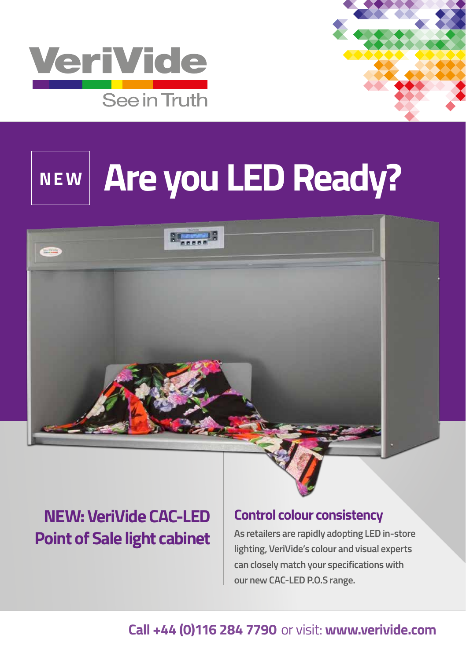

# **NEW Are you LED Ready?**



# **NEW: VeriVide CAC-LED Point of Sale light cabinet**

#### **Control colour consistency**

**As retailers are rapidly adopting LED in-store lighting, VeriVide's colour and visual experts can closely match your specifications with our new CAC-LED P.O.S range.** 

### **Call +44 (0)116 284 7790** or visit: **www.verivide.com**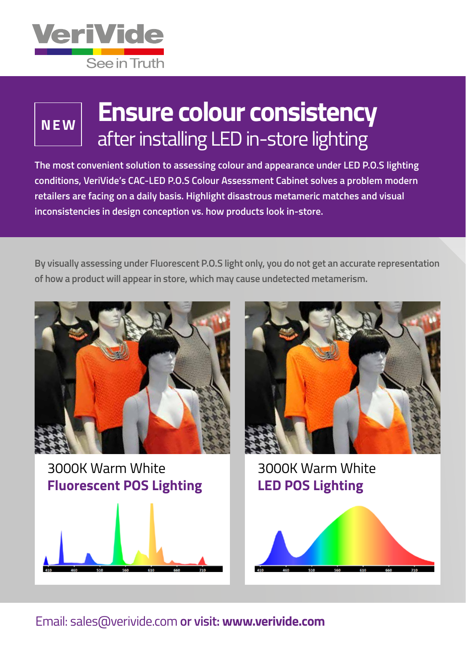

# **NEW**

# **Ensure colour consistency** after installing LED in-store lighting

**The most convenient solution to assessing colour and appearance under LED P.O.S lighting conditions, VeriVide's CAC-LED P.O.S Colour Assessment Cabinet solves a problem modern retailers are facing on a daily basis. Highlight disastrous metameric matches and visual inconsistencies in design conception vs. how products look in-store.** 

**By visually assessing under Fluorescent P.O.S light only, you do not get an accurate representation of how a product will appear in store, which may cause undetected metamerism.**



3000K Warm White **Fluorescent POS Lighting**





3000K Warm White **LED POS Lighting**



#### Email: sales@verivide.com **or visit: www.verivide.com**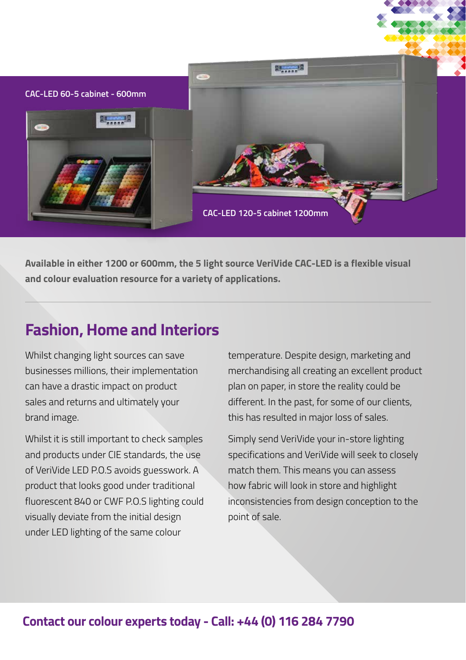

**Available in either 1200 or 600mm, the 5 light source VeriVide CAC-LED is a flexible visual and colour evaluation resource for a variety of applications.** 

# **Fashion, Home and Interiors**

Whilst changing light sources can save businesses millions, their implementation can have a drastic impact on product sales and returns and ultimately your brand image.

Whilst it is still important to check samples and products under CIE standards, the use of VeriVide LED P.O.S avoids guesswork. A product that looks good under traditional fluorescent 840 or CWF P.O.S lighting could visually deviate from the initial design under LED lighting of the same colour

temperature. Despite design, marketing and merchandising all creating an excellent product plan on paper, in store the reality could be different. In the past, for some of our clients, this has resulted in major loss of sales.

Simply send VeriVide your in-store lighting specifications and VeriVide will seek to closely match them. This means you can assess how fabric will look in store and highlight inconsistencies from design conception to the point of sale.